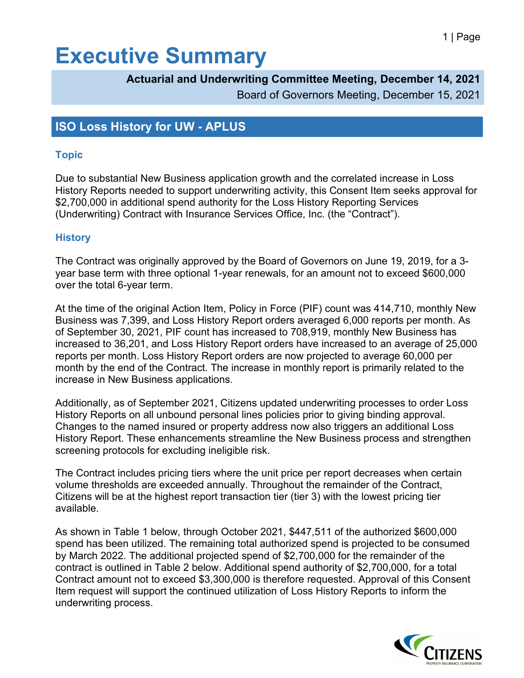# **Executive Summary**

### **Actuarial and Underwriting Committee Meeting, December 14, 2021**

Board of Governors Meeting, December 15, 2021

### **ISO Loss History for UW - APLUS**

#### **Topic**

Due to substantial New Business application growth and the correlated increase in Loss History Reports needed to support underwriting activity, this Consent Item seeks approval for \$2,700,000 in additional spend authority for the Loss History Reporting Services (Underwriting) Contract with Insurance Services Office, Inc. (the "Contract").

#### **History**

The Contract was originally approved by the Board of Governors on June 19, 2019, for a 3 year base term with three optional 1-year renewals, for an amount not to exceed \$600,000 over the total 6-year term.

At the time of the original Action Item, Policy in Force (PIF) count was 414,710, monthly New Business was 7,399, and Loss History Report orders averaged 6,000 reports per month. As of September 30, 2021, PIF count has increased to 708,919, monthly New Business has increased to 36,201, and Loss History Report orders have increased to an average of 25,000 reports per month. Loss History Report orders are now projected to average 60,000 per month by the end of the Contract. The increase in monthly report is primarily related to the increase in New Business applications.

Additionally, as of September 2021, Citizens updated underwriting processes to order Loss History Reports on all unbound personal lines policies prior to giving binding approval. Changes to the named insured or property address now also triggers an additional Loss History Report. These enhancements streamline the New Business process and strengthen screening protocols for excluding ineligible risk.

The Contract includes pricing tiers where the unit price per report decreases when certain volume thresholds are exceeded annually. Throughout the remainder of the Contract, Citizens will be at the highest report transaction tier (tier 3) with the lowest pricing tier available.

As shown in Table 1 below, through October 2021, \$447,511 of the authorized \$600,000 spend has been utilized. The remaining total authorized spend is projected to be consumed by March 2022. The additional projected spend of \$2,700,000 for the remainder of the contract is outlined in Table 2 below. Additional spend authority of \$2,700,000, for a total Contract amount not to exceed \$3,300,000 is therefore requested. Approval of this Consent Item request will support the continued utilization of Loss History Reports to inform the underwriting process.

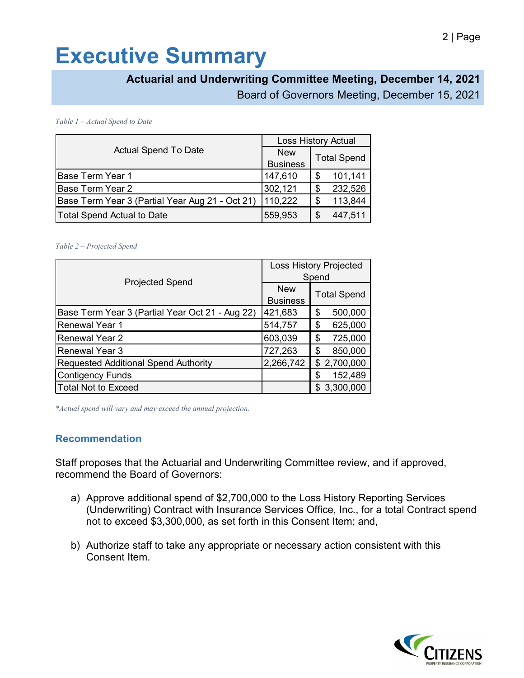# **Executive Summary**

### **Actuarial and Underwriting Committee Meeting, December 14, 2021**

Board of Governors Meeting, December 15, 2021

*Table 1 – Actual Spend to Date* 

| <b>Actual Spend To Date</b>                     | <b>Loss History Actual</b> |                    |
|-------------------------------------------------|----------------------------|--------------------|
|                                                 | <b>New</b>                 | <b>Total Spend</b> |
|                                                 | <b>Business</b>            |                    |
| Base Term Year 1                                | 147,610                    | 101,141<br>S       |
| Base Term Year 2                                | 302,121                    | 232,526<br>S       |
| Base Term Year 3 (Partial Year Aug 21 - Oct 21) | 110,222                    | 113,844<br>S       |
| Total Spend Actual to Date                      | 559,953                    | 447,511<br>S       |

#### *Table 2 – Projected Spend*

| <b>Projected Spend</b>                          | <b>Loss History Projected</b><br>Spend |                    |
|-------------------------------------------------|----------------------------------------|--------------------|
|                                                 | <b>New</b><br><b>Business</b>          | <b>Total Spend</b> |
| Base Term Year 3 (Partial Year Oct 21 - Aug 22) | 421,683                                | 500,000<br>\$      |
| <b>Renewal Year 1</b>                           | 514,757                                | 625,000<br>\$      |
| <b>Renewal Year 2</b>                           | 603,039                                | 725,000<br>\$      |
| <b>Renewal Year 3</b>                           | 727,263                                | 850,000<br>\$      |
| <b>Requested Additional Spend Authority</b>     | 2,266,742                              | \$2,700,000        |
| <b>Contigency Funds</b>                         |                                        | 152,489<br>\$      |
| <b>Total Not to Exceed</b>                      |                                        | \$3,300,000        |

*\*Actual spend will vary and may exceed the annual projection.*

#### **Recommendation**

Staff proposes that the Actuarial and Underwriting Committee review, and if approved, recommend the Board of Governors:

- a) Approve additional spend of \$2,700,000 to the Loss History Reporting Services (Underwriting) Contract with Insurance Services Office, Inc., for a total Contract spend not to exceed \$3,300,000, as set forth in this Consent Item; and,
- b) Authorize staff to take any appropriate or necessary action consistent with this Consent Item.

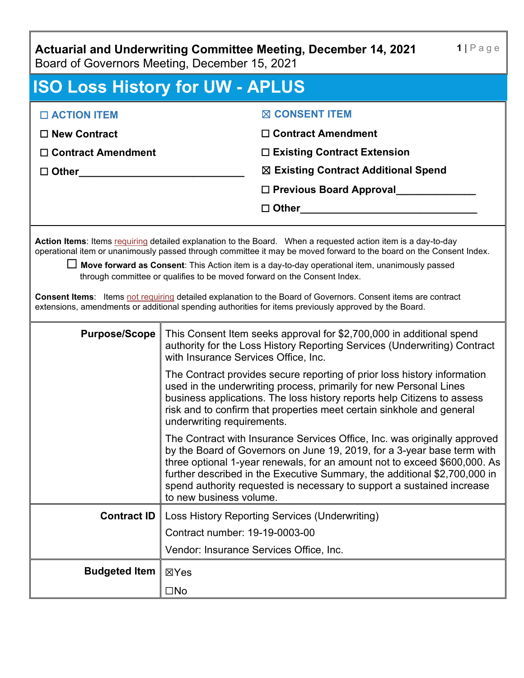**Actuarial and Underwriting Committee Meeting, December 14, 2021**

Board of Governors Meeting, December 15, 2021

| <b>ISO Loss History for UW - APLUS</b>                                                                                                                                                                                                                                                                                                                                                                                                                                                                                                                                                                                                                  |                                                                                                                                                                                                                                                                                                                                                                                                                     |  |  |
|---------------------------------------------------------------------------------------------------------------------------------------------------------------------------------------------------------------------------------------------------------------------------------------------------------------------------------------------------------------------------------------------------------------------------------------------------------------------------------------------------------------------------------------------------------------------------------------------------------------------------------------------------------|---------------------------------------------------------------------------------------------------------------------------------------------------------------------------------------------------------------------------------------------------------------------------------------------------------------------------------------------------------------------------------------------------------------------|--|--|
| □ ACTION ITEM                                                                                                                                                                                                                                                                                                                                                                                                                                                                                                                                                                                                                                           | <b>⊠ CONSENT ITEM</b>                                                                                                                                                                                                                                                                                                                                                                                               |  |  |
| $\Box$ New Contract                                                                                                                                                                                                                                                                                                                                                                                                                                                                                                                                                                                                                                     | $\Box$ Contract Amendment                                                                                                                                                                                                                                                                                                                                                                                           |  |  |
| $\Box$ Contract Amendment                                                                                                                                                                                                                                                                                                                                                                                                                                                                                                                                                                                                                               | $\Box$ Existing Contract Extension                                                                                                                                                                                                                                                                                                                                                                                  |  |  |
| $\Box$ Other                                                                                                                                                                                                                                                                                                                                                                                                                                                                                                                                                                                                                                            | ⊠ Existing Contract Additional Spend                                                                                                                                                                                                                                                                                                                                                                                |  |  |
|                                                                                                                                                                                                                                                                                                                                                                                                                                                                                                                                                                                                                                                         | □ Previous Board Approval                                                                                                                                                                                                                                                                                                                                                                                           |  |  |
|                                                                                                                                                                                                                                                                                                                                                                                                                                                                                                                                                                                                                                                         | □ Other <u>________________________</u> ______                                                                                                                                                                                                                                                                                                                                                                      |  |  |
| Action Items: Items requiring detailed explanation to the Board. When a requested action item is a day-to-day<br>operational item or unanimously passed through committee it may be moved forward to the board on the Consent Index.<br>$□$ Move forward as Consent: This Action item is a day-to-day operational item, unanimously passed<br>through committee or qualifies to be moved forward on the Consent Index.<br><b>Consent Items:</b> Items not requiring detailed explanation to the Board of Governors. Consent items are contract<br>extensions, amendments or additional spending authorities for items previously approved by the Board. |                                                                                                                                                                                                                                                                                                                                                                                                                     |  |  |
| <b>Purpose/Scope</b>                                                                                                                                                                                                                                                                                                                                                                                                                                                                                                                                                                                                                                    | This Consent Item seeks approval for \$2,700,000 in additional spend<br>authority for the Loss History Reporting Services (Underwriting) Contract<br>with Insurance Services Office, Inc.                                                                                                                                                                                                                           |  |  |
|                                                                                                                                                                                                                                                                                                                                                                                                                                                                                                                                                                                                                                                         | The Contract provides secure reporting of prior loss history information<br>used in the underwriting process, primarily for new Personal Lines<br>business applications. The loss history reports help Citizens to assess<br>risk and to confirm that properties meet certain sinkhole and general<br>underwriting requirements.                                                                                    |  |  |
|                                                                                                                                                                                                                                                                                                                                                                                                                                                                                                                                                                                                                                                         | The Contract with Insurance Services Office, Inc. was originally approved<br>by the Board of Governors on June 19, 2019, for a 3-year base term with<br>three optional 1-year renewals, for an amount not to exceed \$600,000. As<br>further described in the Executive Summary, the additional \$2,700,000 in<br>spend authority requested is necessary to support a sustained increase<br>to new business volume. |  |  |
| <b>Contract ID</b>                                                                                                                                                                                                                                                                                                                                                                                                                                                                                                                                                                                                                                      | Loss History Reporting Services (Underwriting)                                                                                                                                                                                                                                                                                                                                                                      |  |  |
|                                                                                                                                                                                                                                                                                                                                                                                                                                                                                                                                                                                                                                                         | Contract number: 19-19-0003-00                                                                                                                                                                                                                                                                                                                                                                                      |  |  |
|                                                                                                                                                                                                                                                                                                                                                                                                                                                                                                                                                                                                                                                         | Vendor: Insurance Services Office, Inc.                                                                                                                                                                                                                                                                                                                                                                             |  |  |
| <b>Budgeted Item</b>                                                                                                                                                                                                                                                                                                                                                                                                                                                                                                                                                                                                                                    | ⊠Yes                                                                                                                                                                                                                                                                                                                                                                                                                |  |  |
|                                                                                                                                                                                                                                                                                                                                                                                                                                                                                                                                                                                                                                                         | $\square$ No                                                                                                                                                                                                                                                                                                                                                                                                        |  |  |